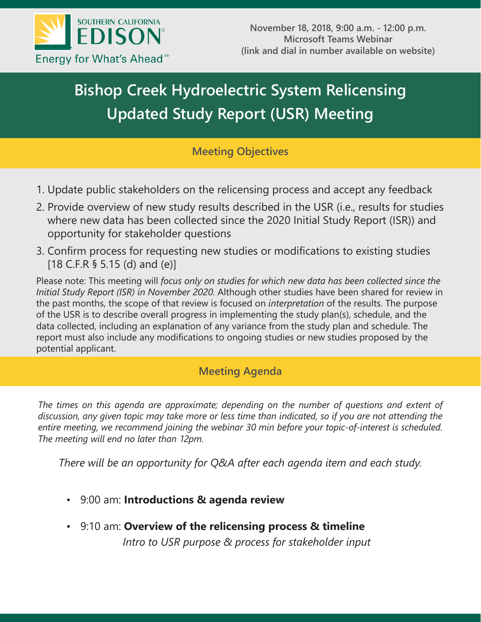

# **Bishop Creek Hydroelectric System Relicensing Updated Study Report (USR) Meeting**

## **Meeting Objectives**

- 1. Update public stakeholders on the relicensing process and accept any feedback
- 2. Provide overview of new study results described in the USR (i.e., results for studies where new data has been collected since the 2020 Initial Study Report (ISR)) and opportunity for stakeholder questions
- 3. Confirm process for requesting new studies or modifications to existing studies [18 C.F.R § 5.15 (d) and (e)]

Please note: This meeting will *focus only on studies for which new data has been collected since the Initial Study Report (ISR) in November 2020.* Although other studies have been shared for review in the past months, the scope of that review is focused on *interpretation* of the results. The purpose of the USR is to describe overall progress in implementing the study plan(s), schedule, and the data collected, including an explanation of any variance from the study plan and schedule. The report must also include any modifications to ongoing studies or new studies proposed by the potential applicant.

## **Meeting Agenda**

*The times on this agenda are approximate; depending on the number of questions and extent of discussion, any given topic may take more or less time than indicated, so if you are not attending the entire meeting, we recommend joining the webinar 30 min before your topic-of-interest is scheduled. The meeting will end no later than 12pm.*

*There will be an opportunity for Q&A after each agenda item and each study.* 

- 9:00 am: **Introductions & agenda review**
- 9:10 am: **Overview of the relicensing process & timeline**

*Intro to USR purpose & process for stakeholder input*